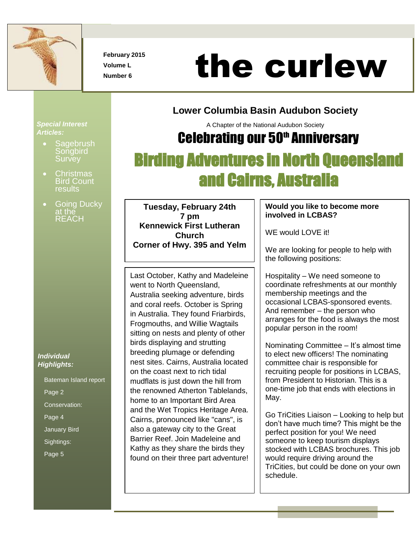

**February 2015 Volume L**

# Number 6<br>Number 6<br>Number 6

### **Lower Columbia Basin Audubon Society**

A Chapter of the National Audubon Society

### **Celebrating our 50th Anniversary**

# Birding Adventures in North Queensland and Cairns, Australia

 **Tuesday, February 24th 7 pm Kennewick First Lutheran Church Corner of Hwy. 395 and Yelm**

Last October, Kathy and Madeleine went to North Queensland, Australia seeking adventure, birds and coral reefs. October is Spring in Australia. They found Friarbirds, Frogmouths, and Willie Wagtails sitting on nests and plenty of other birds displaying and strutting breeding plumage or defending nest sites. Cairns, Australia located on the coast next to rich tidal mudflats is just down the hill from the renowned Atherton Tablelands, home to an Important Bird Area and the Wet Tropics Heritage Area. Cairns, pronounced like "cans", is also a gateway city to the Great Barrier Reef. Join Madeleine and Kathy as they share the birds they found on their three part adventure!

#### **Would you like to become more involved in LCBAS?**

WE would LOVE it!

We are looking for people to help with the following positions:

Hospitality – We need someone to coordinate refreshments at our monthly membership meetings and the occasional LCBAS-sponsored events. And remember – the person who arranges for the food is always the most popular person in the room!

Nominating Committee – It's almost time to elect new officers! The nominating committee chair is responsible for recruiting people for positions in LCBAS, from President to Historian. This is a one-time job that ends with elections in May.

Go TriCities Liaison – Looking to help but don't have much time? This might be the perfect position for you! We need someone to keep tourism displays stocked with LCBAS brochures. This job would require driving around the TriCities, but could be done on your own schedule.

#### *Special Interest Articles:*

- **Sagebrush Songbird Survey**
- **Christmas** Bird Count results
- Going Ducky at the **REACH**

#### *Individual Highlights:*

Bateman Island report Page 2 Conservation: Page 4 January Bird Sightings: Page 5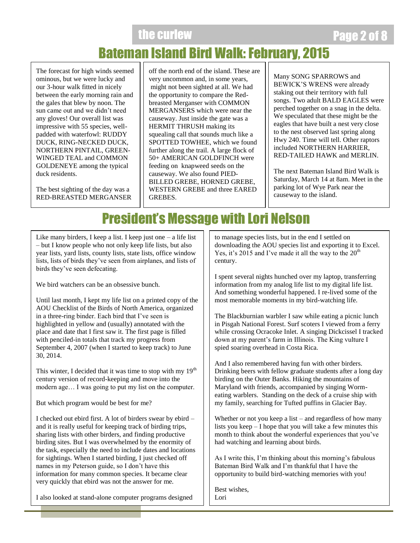the curlew **Page 2 of** 8 and 8 and 8 and 8 and 8 and 8 and 8 and 8 and 8 and 8 and 8 and 8 and 8 and 8 and 8 and 8 and 8 and 8 and 8 and 8 and 8 and 8 and 8 and 8 and 8 and 8 and 8 and 8 and 8 and 8 and 8 and 8 and 8 and 8

# Bateman Island Bird Walk: February, 2015

The forecast for high winds seemed ominous, but we were lucky and our 3-hour walk fitted in nicely between the early morning rain and the gales that blew by noon. The sun came out and we didn't need any gloves! Our overall list was impressive with 55 species, wellpadded with waterfowl: RUDDY DUCK, RING-NECKED DUCK, NORTHERN PINTAIL, GREEN-WINGED TEAL and COMMON GOLDENEYE among the typical duck residents.

The best sighting of the day was a RED-BREASTED MERGANSER off the north end of the island. These are very uncommon and, in some years, might not been sighted at all. We had the opportunity to compare the Redbreasted Merganser with COMMON MERGANSERS which were near the causeway. Just inside the gate was a HERMIT THRUSH making its squealing call that sounds much like a SPOTTED TOWHEE, which we found further along the trail. A large flock of 50+ AMERICAN GOLDFINCH were feeding on knapweed seeds on the causeway. We also found PIED-BILLED GREBE, HORNED GREBE, WESTERN GREBE and three EARED GREBES.

Many SONG SPARROWS and BEWICK'S WRENS were already staking out their territory with full songs. Two adult BALD EAGLES were perched together on a snag in the delta. We speculated that these might be the eagles that have built a nest very close to the nest observed last spring along Hwy 240. Time will tell. Other raptors included NORTHERN HARRIER, RED-TAILED HAWK and MERLIN.

The next Bateman Island Bird Walk is Saturday, March 14 at 8am. Meet in the parking lot of Wye Park near the causeway to the island.

### President's Message with Lori Nelson

Like many birders, I keep a list. I keep just one  $-$  a life list – but I know people who not only keep life lists, but also year lists, yard lists, county lists, state lists, office window lists, lists of birds they've seen from airplanes, and lists of birds they've seen defecating.

We bird watchers can be an obsessive bunch.

Until last month, I kept my life list on a printed copy of the AOU Checklist of the Birds of North America, organized in a three-ring binder. Each bird that I've seen is highlighted in yellow and (usually) annotated with the place and date that I first saw it. The first page is filled with penciled-in totals that track my progress from September 4, 2007 (when I started to keep track) to June 30, 2014.

This winter, I decided that it was time to stop with my  $19<sup>th</sup>$ century version of record-keeping and move into the modern age… I was going to put my list on the computer.

But which program would be best for me?

I checked out ebird first. A lot of birders swear by ebird – and it is really useful for keeping track of birding trips, sharing lists with other birders, and finding productive birding sites. But I was overwhelmed by the enormity of the task, especially the need to include dates and locations for sightings. When I started birding, I just checked off names in my Peterson guide, so I don't have this information for many common species. It became clear very quickly that ebird was not the answer for me.

I also looked at stand-alone computer programs designed

to manage species lists, but in the end I settled on downloading the AOU species list and exporting it to Excel. Yes, it's 2015 and I've made it all the way to the  $20<sup>th</sup>$ century.

I spent several nights hunched over my laptop, transferring information from my analog life list to my digital life list. And something wonderful happened. I re-lived some of the most memorable moments in my bird-watching life.

The Blackburnian warbler I saw while eating a picnic lunch in Pisgah National Forest. Surf scoters I viewed from a ferry while crossing Ocracoke Inlet. A singing Dickcissel I tracked down at my parent's farm in Illinois. The King vulture I spied soaring overhead in Costa Rica.

And I also remembered having fun with other birders. Drinking beers with fellow graduate students after a long day birding on the Outer Banks. Hiking the mountains of Maryland with friends, accompanied by singing Wormeating warblers. Standing on the deck of a cruise ship with my family, searching for Tufted puffins in Glacier Bay.

Whether or not you keep a list – and regardless of how many lists you keep – I hope that you will take a few minutes this month to think about the wonderful experiences that you've had watching and learning about birds.

As I write this, I'm thinking about this morning's fabulous Bateman Bird Walk and I'm thankful that I have the opportunity to build bird-watching memories with you!

Best wishes, Lori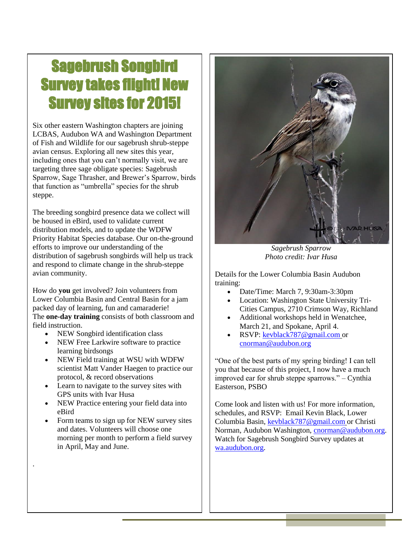# Sagebrush Songbird Survey takes flight! New Survey sites for 2015!

Six other eastern Washington chapters are joining LCBAS, Audubon WA and Washington Department of Fish and Wildlife for our sagebrush shrub-steppe avian census. Exploring all new sites this year, including ones that you can't normally visit, we are targeting three sage obligate species: Sagebrush Sparrow, Sage Thrasher, and Brewer's Sparrow, birds that function as "umbrella" species for the shrub steppe.

The breeding songbird presence data we collect will be housed in eBird, used to validate current distribution models, and to update the WDFW Priority Habitat Species database. Our on-the-ground efforts to improve our understanding of the distribution of sagebrush songbirds will help us track and respond to climate change in the shrub-steppe avian community.

How do **you** get involved? Join volunteers from Lower Columbia Basin and Central Basin for a jam packed day of learning, fun and camaraderie! The **one-day training** consists of both classroom and field instruction.

- NEW Songbird identification class
- NEW Free Larkwire software to practice learning birdsongs
- NEW Field training at WSU with WDFW scientist Matt Vander Haegen to practice our protocol, & record observations
- Learn to navigate to the survey sites with GPS units with Ivar Husa
- NEW Practice entering your field data into eBird
- Form teams to sign up for NEW survey sites and dates. Volunteers will choose one morning per month to perform a field survey in April, May and June.

.



*Sagebrush Sparrow Photo credit: Ivar Husa*

Details for the Lower Columbia Basin Audubon training:

- Date/Time: March 7, 9:30am-3:30pm
- Location: Washington State University Tri-Cities Campus, 2710 Crimson Way, Richland
- Additional workshops held in Wenatchee, March 21, and Spokane, April 4.
- RSVP: [kevblack787@gmail.com](mailto:kevblack787@gmail.com) or [cnorman@audubon.org](about:blank)

"One of the best parts of my spring birding! I can tell you that because of this project, I now have a much improved ear for shrub steppe sparrows." – Cynthia Easterson, PSBO

Come look and listen with us! For more information, schedules, and RSVP: Email Kevin Black, Lower Columbia Basin, [kevblack787@gmail.com](mailto:kevblack787@gmail.com) or Christi Norman, Audubon Washington, [cnorman@audubon.org.](mailto:cnorman@audubon.org)  Watch for Sagebrush Songbird Survey updates at [wa.audubon.org.](http://wa.audubon.org/network-news)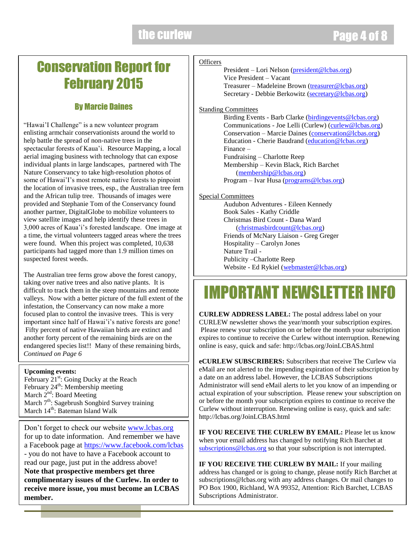### Conservation Report for February 2015

### By Marcie Daines

"Hawai'I Challenge" is a new volunteer program enlisting armchair conservationists around the world to help battle the spread of non-native trees in the spectacular forests of Kaua'i. Resource Mapping, a local aerial imaging business with technology that can expose individual plants in large landscapes, partnered with The Nature Conservancy to take high-resolution photos of some of Hawai'I's most remote native forests to pinpoint the location of invasive trees, esp., the Australian tree fern and the African tulip tree. Thousands of images were provided and Stephanie Tom of the Conservancy found another partner, DigitalGlobe to mobilize volunteers to view satellite images and help identify these trees in 3,000 acres of Kaua'i's forested landscape. One image at a time, the virtual volunteers tagged areas where the trees were found. When this project was completed, 10,638 participants had tagged more than 1.9 million times on suspected forest weeds.

The Australian tree ferns grow above the forest canopy, taking over native trees and also native plants. It is difficult to track them in the steep mountains and remote valleys. Now with a better picture of the full extent of the infestation, the Conservancy can now make a more focused plan to control the invasive trees. This is very important since half of Hawai'i's native forests are gone! Fifty percent of native Hawaiian birds are extinct and another forty percent of the remaining birds are on the endangered species list!! Many of these remaining birds, *Continued on Page 6*

#### **Upcoming events:**

February 21<sup>st</sup>: Going Ducky at the Reach February  $24^{\text{th}}$ : Membership meeting March  $2^{nd}$ : Board Meeting March 7<sup>th</sup>: Sagebrush Songbird Survey training March 14<sup>th</sup>: Bateman Island Walk

Don't forget to check our website [www.lcbas.org](http://www.lcbas.org/) for up to date information. And remember we have a Facebook page at<https://www.facebook.com/lcbas> - you do not have to have a Facebook account to read our page, just put in the address above! **Note that prospective members get three complimentary issues of the Curlew. In order to receive more issue, you must become an LCBAS member.**

#### **Officers**

President – Lori Nelson [\(president@lcbas.org\)](mailto:president@lcbas.org) Vice President – Vacant Treasurer – Madeleine Brown [\(treasurer@lcbas.org\)](mailto:treasurer@lcbas.org) Secretary - Debbie Berkowitz [\(secretary@lcbas.org\)](mailto:secretary@lcbas.org)

#### **Standing Committees**

Birding Events - Barb Clarke [\(birdingevents@lcbas.org\)](mailto:birdingevents@lcbas.org) Communications - Joe Lelli (Curlew) [\(curlew@lcbas.org\)](mailto:curlew@lcbas.org) Conservation – Marcie Daines [\(conservation@lcbas.org\)](mailto:conservation@lcbas.org) Education - Cherie Baudrand [\(education@lcbas.org\)](mailto:education@lcbas.org) Finance – Fundraising – Charlotte Reep Membership – Kevin Black, Rich Barchet [\(membership@lcbas.org\)](mailto:membership@lcbas.org) Program – Ivar Husa [\(programs@lcbas.org\)](mailto:programs@lcbas.org)

#### Special Committees

Audubon Adventures - Eileen Kennedy Book Sales - Kathy Criddle Christmas Bird Count - Dana Ward [\(christmasbirdcount@lcbas.org\)](mailto:christmasbirdcount@lcbas.org) Friends of McNary Liaison - Greg Greger Hospitality – Carolyn Jones Nature Trail - Publicity –Charlotte Reep Website - Ed Rykiel [\(webmaster@lcbas.org\)](mailto:webmaster@lcbas.org)

# IMPORTANT NEWSLETTER INFO

**CURLEW ADDRESS LABEL:** The postal address label on your CURLEW newsletter shows the year/month your subscription expires. Please renew your subscription on or before the month your subscription expires to continue to receive the Curlew without interruption. Renewing online is easy, quick and safe: http://lcbas.org/JoinLCBAS.html

**eCURLEW SUBSCRIBERS:** Subscribers that receive The Curlew via eMail are not alerted to the impending expiration of their subscription by a date on an address label. However, the LCBAS Subscriptions Administrator will send eMail alerts to let you know of an impending or actual expiration of your subscription. Please renew your subscription on or before the month your subscription expires to continue to receive the Curlew without interruption. Renewing online is easy, quick and safe: http://lcbas.org/JoinLCBAS.html

**IF YOU RECEIVE THE CURLEW BY EMAIL:** Please let us know when your email address has changed by notifying Rich Barchet at [subscriptions@lcbas.org](mailto:subscriptions@lcbas.org) so that your subscription is not interrupted.

**IF YOU RECEIVE THE CURLEW BY MAIL:** If your mailing address has changed or is going to change, please notify Rich Barchet at subscriptions@lcbas.org with any address changes. Or mail changes to PO Box 1900, Richland, WA 99352, Attention: Rich Barchet, LCBAS Subscriptions Administrator.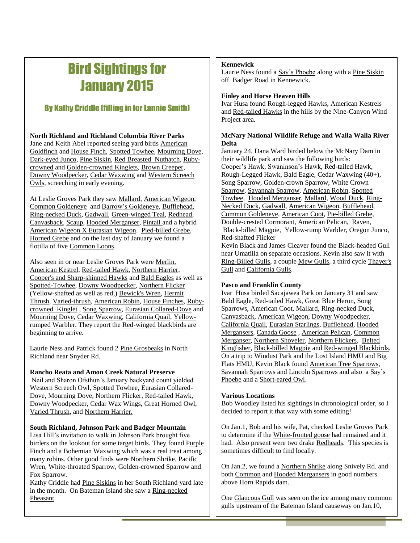## Bird Sightings for January 2015

#### By Kathy Criddle (filling in for Lannie Smith)

**North Richland and Richland Columbia River Parks** Jane and Keith Abel reported seeing yard birds American Goldfinch and House Finch, Spotted Towhee, Mourning Dove, Dark-eyed Junco, Pine Siskin, Red Breasted Nuthatch, Rubycrowned and Golden-crowned Kinglets, Brown Creeper, Downy Woodpecker, Cedar Waxwing and Western Screech Owls, screeching in early evening.

At Leslie Groves Park they saw Mallard, American Wigeon, Common Goldeneye and Barrow's Goldeneye, Bufflehead, Ring-necked Duck, Gadwall, Green-winged Teal, Redhead, Canvasback, Scaup, Hooded Merganser, Pintail and a hybrid American Wigeon X Eurasian Wigeon. Pied-billed Grebe, Horned Grebe and on the last day of January we found a flotilla of five Common Loons.

Also seen in or near Leslie Groves Park were Merlin, American Kestrel, Red-tailed Hawk, Northern Harrier, Cooper's and Sharp-shinned Hawks and Bald Eagles as well as Spotted-Towhee, Downy Woodpecker, Northern Flicker (Yellow-shafted as well as red,) Bewick's Wren, Hermit Thrush, Varied-thrush, American Robin, House Finches, Rubycrowned Kinglet , Song Sparrow, Eurasian Collared-Dove and Mourning Dove, Cedar Waxwing, California Quail, Yellowrumped Warbler. They report the Red-winged blackbirds are beginning to arrive.

Laurie Ness and Patrick found 2 Pine Grosbeaks in North Richland near Snyder Rd.

#### **Rancho Reata and Amon Creek Natural Preserve**

Neil and Sharon Ofsthun's January backyard count yielded Western Screech Owl, Spotted Towhee, Eurasian Collared-Dove, Mourning Dove, Northern Flicker, Red-tailed Hawk, Downy Woodpecker, Cedar Wax Wings, Great Horned Owl, Varied Thrush, and Northern Harrier.

#### **South Richland, Johnson Park and Badger Mountain**

Lisa Hill's invitation to walk in Johnson Park brought five birders on the lookout for some target birds. They found Purple Finch and a Bohemian Waxwing which was a real treat among many robins. Other good finds were Northern Shrike, Pacific Wren, White-throated Sparrow, Golden-crowned Sparrow and Fox Sparrow.

Kathy Criddle had Pine Siskins in her South Richland yard late in the month. On Bateman Island she saw a Ring-necked Pheasant.

#### **Kennewick**

Laurie Ness found a Say's Phoebe along with a Pine Siskin off Badger Road in Kennewick.

#### **Finley and Horse Heaven Hills**

Ivar Husa found Rough-legged Hawks, American Kestrels and Red-tailed Hawks in the hills by the Nine-Canyon Wind Project area.

#### **McNary National Wildlife Refuge and Walla Walla River Delta**

January 24, Dana Ward birded below the McNary Dam in their wildlife park and saw the following birds: Cooper's Hawk, Swaninson's Hawk, Red-tailed Hawk, Rough-Legged Hawk, Bald Eagle, Cedar Waxwing (40+), Song Sparrow, Golden-crown Sparrow, White Crown Sparrow, Savannah Sparrow, American Robin, Spotted Towhee, Hooded Merganser, Mallard, Wood Duck, Ring-Necked Duck, Gadwall, American Wigeon, Bufflehead, Common Goldeneye, American Coot, Pie-billed Grebe, Double-crested Cormorant, American Pelican, Raven, Black-billed Magpie, Yellow-rump Warbler, Oregon Junco, Red-shafted Flicker

Kevin Black and James Cleaver found the Black-headed Gull near Umatilla on separate occasions. Kevin also saw it with Ring-Billed Gulls, a couple Mew Gulls, a third cycle Thayer's Gull and California Gulls.

#### **Pasco and Franklin County**

Ivar Husa birded Sacajawea Park on January 31 and saw Bald Eagle, Red-tailed Hawk, Great Blue Heron, Song Sparrows, American Coot, Mallard, Ring-necked Duck, Canvasback, American Wigeon, Downy Woodpecker, California Quail, Eurasian Starlings, Bufflehead, Hooded Mergansers, Canada Goose , American Pelican, Common Merganser, Northern Shoveler, Northern Flickers, Belted Kingfisher, Black-billed Magpie and Red-winged Blackbirds. On a trip to Windust Park and the Lost Island HMU and Big Flats HMU, Kevin Black found American Tree Sparrows, Savannah Sparrows and Lincoln Sparrows and also a Say's Phoebe and a Short-eared Owl.

#### **Various Locations**

Bob Woodley listed his sightings in chronological order, so I decided to report it that way with some editing!

On Jan.1, Bob and his wife, Pat, checked Leslie Groves Park to determine if the White-fronted goose had remained and it had. Also present were two drake Redheads. This species is sometimes difficult to find locally.

On Jan.2, we found a Northern Shrike along Snively Rd. and both Common and Hooded Mergansers in good numbers above Horn Rapids dam.

One Glaucous Gull was seen on the ice among many common gulls upstream of the Bateman Island causeway on Jan.10,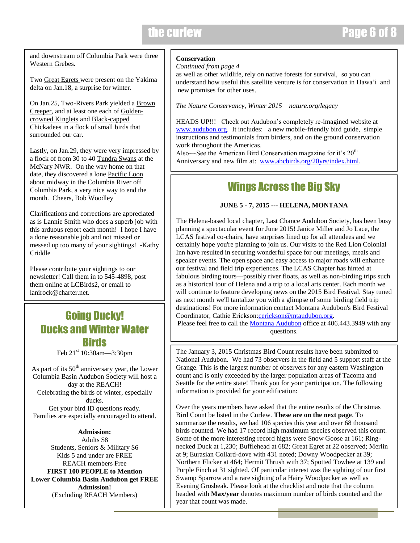### the curlew

### Page 6 of 8

curlew

and downstream off Columbia Park were three Western Grebes.

Two Great Egrets were present on the Yakima delta on Jan.18, a surprise for winter.

On Jan.25, Two-Rivers Park yielded a Brown Creeper, and at least one each of Goldencrowned Kinglets and Black-capped Chickadees in a flock of small birds that surrounded our car.

Lastly, on Jan.29, they were very impressed by a flock of from 30 to 40 Tundra Swans at the McNary NWR. On the way home on that date, they discovered a lone Pacific Loon about midway in the Columbia River off Columbia Park, a very nice way to end the month. Cheers, Bob Woodley

Clarifications and corrections are appreciated as is Lannie Smith who does a superb job with this arduous report each month! I hope I have a done reasonable job and not missed or messed up too many of your sightings! -Kathy Criddle

Please contribute your sightings to our newsletter! Call them in to 545-4898, post them online at LCBirds2, or email to lanirock@charter.net

### Going Ducky! Ducks and Winter Water Birds

Feb 21<sup>st</sup> 10:30am—3:30pm

 $\overline{\phantom{a}}$ 

As part of its  $50<sup>th</sup>$  anniversary year, the Lower Columbia Basin Audubon Society will host a day at the REACH! Celebrating the birds of winter, especially ducks. Get your bird ID questions ready. Families are especially encouraged to attend.

**Admission:** Adults \$8 Students, Seniors & Military \$6 Kids 5 and under are FREE REACH members Free **FIRST 100 PEOPLE to Mention Lower Columbia Basin Audubon get FREE Admission!** (Excluding REACH Members)

#### **Conservation**

*Continued from page 4*

as well as other wildlife, rely on native forests for survival, so you can understand how useful this satellite venture is for conservation in Hawa'i and new promises for other uses.

*The Nature Conservancy, Winter 2015 nature.org/legacy* 

HEADS UP!!! Check out Audubon's completely re-imagined website at [www.audubon.org.](http://www.audubon.org/) It includes: a new mobile-friendly bird guide, simple instructions and testimonials from birders, and on the ground conservation work throughout the Americas.

Also $\sim$ See the American Bird Conservation magazine for it's  $20<sup>th</sup>$ Anniversary and new film at: [www.abcbirds.org/20yrs/index.html.](http://www.abcbirds.org/20yrs/index.html)

### Wings Across the Big Sky

#### **JUNE 5 - 7, 2015 --- HELENA, MONTANA**

The Helena-based local chapter, Last Chance Audubon Society, has been busy planning a spectacular event for June 2015! Janice Miller and Jo Lace, the LCAS festival co-chairs, have surprises lined up for all attendees and we certainly hope you're planning to join us. Our visits to the Red Lion Colonial Inn have resulted in securing wonderful space for our meetings, meals and speaker events. The open space and easy access to major roads will enhance our festival and field trip experiences. The LCAS Chapter has hinted at fabulous birding tours—possibly river floats, as well as non-birding trips such as a historical tour of Helena and a trip to a local arts center. Each month we will continue to feature developing news on the 2015 Bird Festival. Stay tuned as next month we'll tantalize you with a glimpse of some birding field trip destinations! For more information contact Montana Audubon's Bird Festival Coordinator, Cathie Erickson[:cerickson@mtaudubon.org.](mailto:cerickson@mtaudubon.org) Please feel free to call the [Montana Audubon](mailto:mtaudubon@mtaudubon.org) office at 406.443.3949 with any

questions.

The January 3, 2015 Christmas Bird Count results have been submitted to National Audubon. We had 73 observers in the field and 5 support staff at the Grange. This is the largest number of observers for any eastern Washington count and is only exceeded by the larger population areas of Tacoma and Seattle for the entire state! Thank you for your participation. The following information is provided for your edification:

Over the years members have asked that the entire results of the Christmas Bird Count be listed in the Curlew. **These are on the next page**. To summarize the results, we had 106 species this year and over 68 thousand birds counted. We had 17 record high maximum species observed this count. Some of the more interesting record highs were Snow Goose at 161; Ringnecked Duck at 1,230; Bufflehead at 682; Great Egret at 22 observed; Merlin at 9; Eurasian Collard-dove with 431 noted; Downy Woodpecker at 39; Northern Flicker at 464; Hermit Thrush with 37; Spotted Towhee at 139 and Purple Finch at 31 sighted. Of particular interest was the sighting of our first Swamp Sparrow and a rare sighting of a Hairy Woodpecker as well as Evening Grosbeak. Please look at the checklist and note that the column headed with **Max/year** denotes maximum number of birds counted and the year that count was made.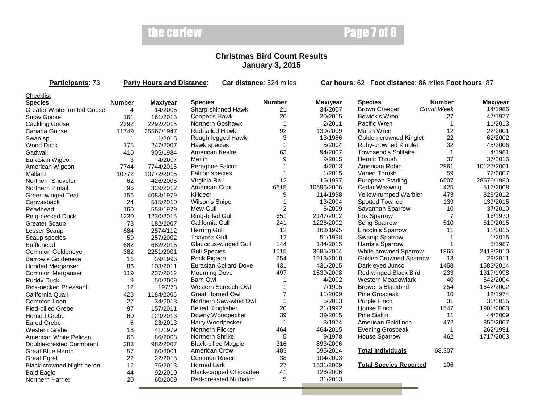## the curlew

## Page 7 of 8

curlew

#### **Christmas Bird Count Results January 3, 2015**

| Participants: 73                   | <b>Party Hours and Distance:</b><br>Car distance: 524 miles |            |                               |                | Car hours: 62 Foot distance: 86 miles Foot hours: 87 |                               |                   |            |
|------------------------------------|-------------------------------------------------------------|------------|-------------------------------|----------------|------------------------------------------------------|-------------------------------|-------------------|------------|
| Checklist                          |                                                             |            |                               |                |                                                      |                               |                   |            |
| <b>Species</b>                     | <b>Number</b>                                               | Max/year   | <b>Species</b>                | <b>Number</b>  | Max/year                                             | <b>Species</b>                | <b>Number</b>     | Max/year   |
| <b>Greater White-fronted Goose</b> | $\overline{4}$                                              | 14/2005    | Sharp-shinned Hawk            | 21             | 34/2007                                              | <b>Brown Creeper</b>          | <b>Count Week</b> | 14/1985    |
| Snow Goose                         | 161                                                         | 161/2015   | Cooper's Hawk                 | 20             | 20/2015                                              | Bewick's Wren                 | 27                | 47/1977    |
| <b>Cackling Goose</b>              | 2292                                                        | 2292/2015  | Northern Goshawk              | $\mathbf{1}$   | 2/2011                                               | Pacific Wren                  | $\overline{1}$    | 11/2013    |
| Canada Goose                       | 11749                                                       | 25567/1947 | <b>Red-tailed Hawk</b>        | 92             | 139/2009                                             | Marsh Wren                    | 12                | 22/2001    |
| Swan sp.                           | 1                                                           | 1/2015     | Rough-legged Hawk             | 3              | 13/1986                                              | Golden-crowned Kinglet        | 22                | 62/2002    |
| Wood Duck                          | 175                                                         | 247/2007   | Hawk species                  | $\overline{1}$ | 5/2004                                               | Ruby-crowned Kinglet          | 32                | 45/2006    |
| Gadwall                            | 410                                                         | 905/1984   | <b>American Kestrel</b>       | 63             | 94/2007                                              | <b>Townsend's Solitaire</b>   |                   | 4/1981     |
| Eurasian Wigeon                    | 3                                                           | 4/2007     | Merlin                        | 9              | 9/2015                                               | <b>Hermit Thrush</b>          | 37                | 37/2015    |
| American Wigeon                    | 7744                                                        | 7744/2015  | Peregrine Falcon              |                | 4/2013                                               | American Robin                | 2961              | 10127/2001 |
| Mallard                            | 10772                                                       | 10772/2015 | Falcon species                | 1              | 1/2015                                               | Varied Thrush                 | 59                | 72/2007    |
| Northern Shoveler                  | 62                                                          | 426/2005   | Virginia Rail                 | 12             | 15/1997                                              | <b>European Starling</b>      | 6507              | 28575/1980 |
| <b>Northern Pintail</b>            | 96                                                          | 339/2012   | American Coot                 | 6615           | 10696/2006                                           | Cedar Waxwing                 | 425               | 517/2008   |
| Green-winged Teal                  | 156                                                         | 4083/1979  | Killdeer                      | 9              | 114/1998                                             | Yellow-rumped Warbler         | 473               | 828/2012   |
| Canvasback                         | 24                                                          | 515/2010   | Wilson's Snipe                | 1              | 13/2004                                              | Spotted Towhee                | 139               | 139/2015   |
| Readhead                           | 160                                                         | 558/1979   | Mew Gull                      | $\overline{2}$ | 6/2009                                               | Savannah Sparrow              | 10                | 37/2010    |
| Ring-necked Duck                   | 1230                                                        | 1230/2015  | Ring-billed Gull              | 651            | 2147/2012                                            | Fox Sparrow                   | $\overline{7}$    | 16/1970    |
| <b>Greater Scaup</b>               | 73                                                          | 182/2007   | California Gull               | 241            | 1226/2002                                            | Song Sparrow                  | 510               | 510/2015   |
| Lesser Scaup                       | 884                                                         | 2574/112   | <b>Herring Gull</b>           | 12             | 163/1995                                             | Lincoln's Sparrow             | 11                | 11/2015    |
| Scaup species                      | 59                                                          | 257/2002   | Thayer's Gull                 | 12             | 51/1998                                              | Swamp Sparrow                 | -1                | 1/2015     |
| <b>Bufflehead</b>                  | 682                                                         | 682/2015   | Glaucous-winged Gull          | 144            | 144/2015                                             | Harris's Sparrow              |                   | 5/1987     |
| Common Goldeneye                   | 382                                                         | 2251/2001  | <b>Gull Species</b>           | 1015           | 3685/2004                                            | White-crowned Sparrow         | 1865              | 2418/2010  |
| Barrow's Goldeneye                 | 16                                                          | 39/1996    | Rock Pigeon                   | 654            | 1913/2010                                            | <b>Golden Crowned Sparrow</b> | 13                | 29/2011    |
| <b>Hooded Merganser</b>            | 86                                                          | 103/2011   | Eurasian Collard-Dove         | 431            | 431/2015                                             | Dark-eyed Junco               | 1458              | 1582/2014  |
| Common Merganser                   | 119                                                         | 237/2012   | <b>Mourning Dove</b>          | 497            | 1539/2008                                            | Red-winged Black Bird         | 233               | 1317/1998  |
| <b>Ruddy Duck</b>                  | 9                                                           | 50/2009    | <b>Barn Owl</b>               |                | 4/2002                                               | Western Meadowlark            | 40                | 542/2004   |
| <b>Rick-necked Pheasant</b>        | 12                                                          | 197/73     | Western Screech-Owl           |                | 7/1995                                               | Brewer's Blackbird            | 254               | 1642/2002  |
| California Quail                   | 423                                                         | 1184/2006  | <b>Great Horned Owl</b>       | $\overline{7}$ | 11/2009                                              | Pine Grosbeak                 | 10                | 12/1974    |
| Common Loon                        | 27                                                          | 34/2013    | Northern Saw-whet Owl         | $\mathbf{1}$   | 5/2013                                               | Purple Finch                  | 31                | 31/2015    |
| Pied-billed Grebe                  | 97                                                          | 157/2011   | <b>Belted Kingfisher</b>      | 20             | 21/1992                                              | House Finch                   | 1547              | 1901/2003  |
| <b>Horned Grebe</b>                | 60                                                          | 129/2013   | Downy Woodpecker              | 39             | 39/2015                                              | Pine Siskin                   | 11                | 44/2009    |
| <b>Eared Grebe</b>                 | 6                                                           | 23/2013    | Hairy Woodpecker              | 1              | 3/1974                                               | American Goldfinch            | 472               | 850/2007   |
| Western Grebe                      | 18                                                          | 41/1979    | Northern Flicker              | 464            | 464/2015                                             | <b>Evening Grosbeak</b>       | $\overline{1}$    | 262/1991   |
| American White Pelican             | 66                                                          | 86/2008    | Northern Shrike               | 5              | 9/1978                                               | <b>House Sparrow</b>          | 462               | 1717/2003  |
| Double-crested Cormorant           | 283                                                         | 982/2007   | <b>Black-billed Magpie</b>    | 316            | 893/2006                                             |                               |                   |            |
| Great Blue Heron                   | 57                                                          | 60/2001    | American Crow                 | 483            | 595/2014                                             | <b>Total Individuals</b>      | 68,307            |            |
| <b>Great Egret</b>                 | 22                                                          | 22/2015    | Common Raven                  | 38             | 104/2003                                             |                               |                   |            |
| Black-crowned Night-heron          | 12                                                          | 76/2013    | <b>Horned Lark</b>            | 27             | 1531/2009                                            | <b>Total Species Reported</b> | 106               |            |
| <b>Bald Eagle</b>                  | 44                                                          | 92/2010    | <b>Black-capped Chickadee</b> | 41             | 126/2006                                             |                               |                   |            |
| Northern Harrier                   | 20                                                          | 60/2009    | <b>Red-breasted Nuthatch</b>  | 5              | 31/2013                                              |                               |                   |            |